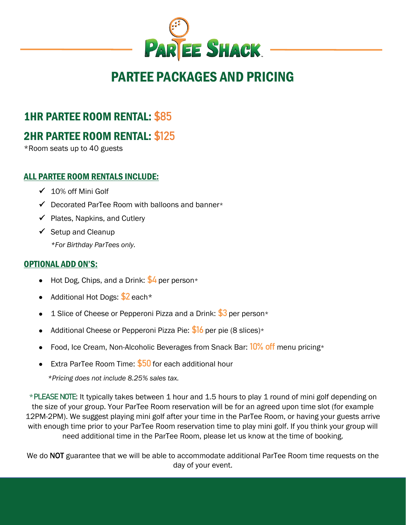

# PARTEE PACKAGES AND PRICING

# 1HR PARTEE ROOM RENTAL: **\$85**

# 2HR PARTEE ROOM RENTAL: **\$125**

\*Room seats up to 40 guests

#### ALL PARTEE ROOM RENTALS INCLUDE:

- ✓ 10% off Mini Golf
- $\checkmark$  Decorated ParTee Room with balloons and banner\*
- $\checkmark$  Plates, Napkins, and Cutlery
- $\checkmark$  Setup and Cleanup

*\*For Birthday ParTees only.*

#### OPTIONAL ADD ON'S:

- Hot Dog, Chips, and a Drink: **\$4** per person\*
- Additional Hot Dogs: **\$2** each\*
- 1 Slice of Cheese or Pepperoni Pizza and a Drink: **\$3** per person\*
- Additional Cheese or Pepperoni Pizza Pie: **\$16** per pie (8 slices)\*
- Food, Ice Cream, Non-Alcoholic Beverages from Snack Bar: **10% off** menu pricing\*
- Extra ParTee Room Time: **\$50** for each additional hour

*\*Pricing does not include 8.25% sales tax.*

\***PLEASE NOTE**: It typically takes between 1 hour and 1.5 hours to play 1 round of mini golf depending on the size of your group. Your ParTee Room reservation will be for an agreed upon time slot (for example 12PM-2PM). We suggest playing mini golf after your time in the ParTee Room, or having your guests arrive with enough time prior to your ParTee Room reservation time to play mini golf. If you think your group will need additional time in the ParTee Room, please let us know at the time of booking.

We do NOT guarantee that we will be able to accommodate additional ParTee Room time requests on the day of your event.